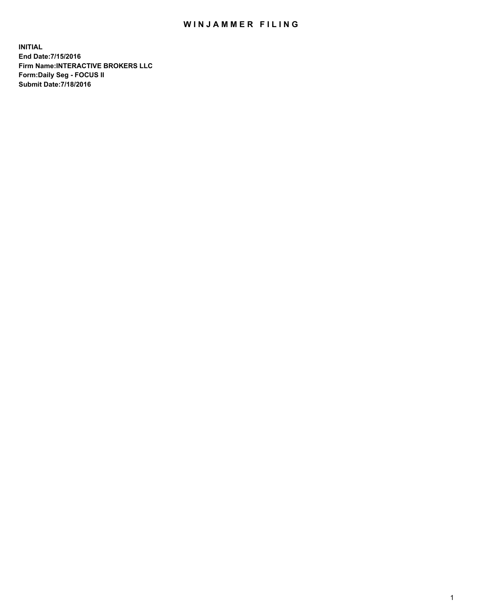## WIN JAMMER FILING

**INITIAL End Date:7/15/2016 Firm Name:INTERACTIVE BROKERS LLC Form:Daily Seg - FOCUS II Submit Date:7/18/2016**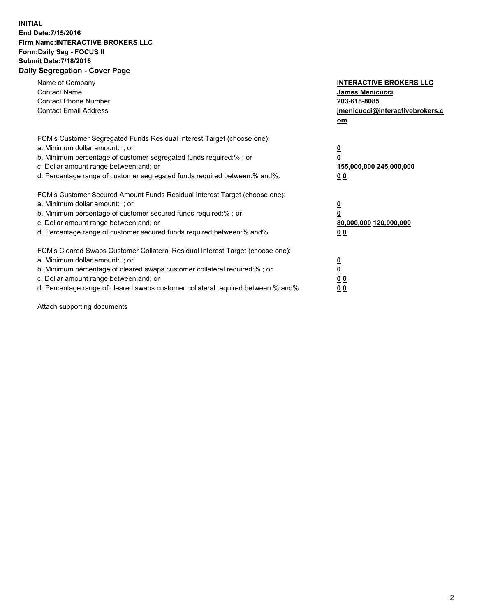## **INITIAL End Date:7/15/2016 Firm Name:INTERACTIVE BROKERS LLC Form:Daily Seg - FOCUS II Submit Date:7/18/2016 Daily Segregation - Cover Page**

| Name of Company<br><b>Contact Name</b><br><b>Contact Phone Number</b><br><b>Contact Email Address</b>                                                                                                                                                                                                                          | <b>INTERACTIVE BROKERS LLC</b><br>James Menicucci<br>203-618-8085<br>jmenicucci@interactivebrokers.c<br>om |
|--------------------------------------------------------------------------------------------------------------------------------------------------------------------------------------------------------------------------------------------------------------------------------------------------------------------------------|------------------------------------------------------------------------------------------------------------|
| FCM's Customer Segregated Funds Residual Interest Target (choose one):<br>a. Minimum dollar amount: ; or<br>b. Minimum percentage of customer segregated funds required:%; or<br>c. Dollar amount range between: and; or<br>d. Percentage range of customer segregated funds required between:% and%.                          | $\overline{\mathbf{0}}$<br>0<br>155,000,000 245,000,000<br>0 <sub>0</sub>                                  |
| FCM's Customer Secured Amount Funds Residual Interest Target (choose one):<br>a. Minimum dollar amount: ; or<br>b. Minimum percentage of customer secured funds required:%; or<br>c. Dollar amount range between: and; or<br>d. Percentage range of customer secured funds required between:% and%.                            | $\overline{\mathbf{0}}$<br>$\overline{\mathbf{0}}$<br>80,000,000 120,000,000<br>00                         |
| FCM's Cleared Swaps Customer Collateral Residual Interest Target (choose one):<br>a. Minimum dollar amount: ; or<br>b. Minimum percentage of cleared swaps customer collateral required:% ; or<br>c. Dollar amount range between: and; or<br>d. Percentage range of cleared swaps customer collateral required between:% and%. | $\overline{\mathbf{0}}$<br>$\overline{\mathbf{0}}$<br>0 <sub>0</sub><br><u>00</u>                          |

Attach supporting documents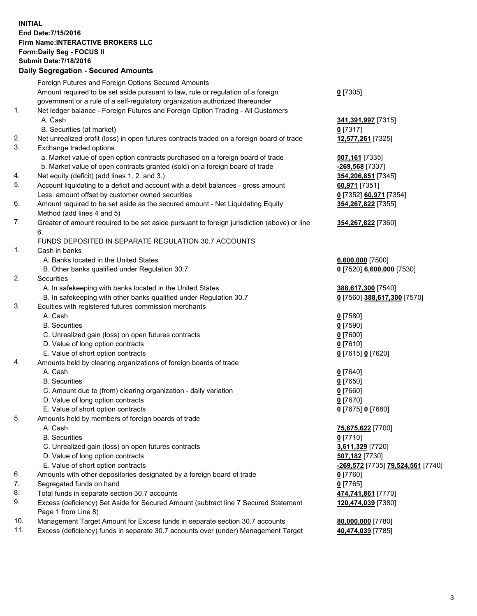## **INITIAL End Date:7/15/2016 Firm Name:INTERACTIVE BROKERS LLC Form:Daily Seg - FOCUS II Submit Date:7/18/2016 Daily Segregation - Secured Amounts**

| 341,391,997 [7315]<br>354,206,851 [7345]<br>0 [7352] 60,971 [7354] |
|--------------------------------------------------------------------|
|                                                                    |
|                                                                    |
|                                                                    |
|                                                                    |
|                                                                    |
|                                                                    |
|                                                                    |
|                                                                    |
|                                                                    |
|                                                                    |
|                                                                    |
|                                                                    |
|                                                                    |
| 354,267,822 [7355]                                                 |
|                                                                    |
| 354, 267, 822 [7360]                                               |
|                                                                    |
|                                                                    |
|                                                                    |
|                                                                    |
| 0 [7520] 6,600,000 [7530]                                          |
|                                                                    |
| 388,617,300 [7540]                                                 |
| 0 [7560] 388,617,300 [7570]                                        |
|                                                                    |
|                                                                    |
|                                                                    |
|                                                                    |
|                                                                    |
|                                                                    |
|                                                                    |
|                                                                    |
|                                                                    |
|                                                                    |
|                                                                    |
|                                                                    |
|                                                                    |
|                                                                    |
|                                                                    |
|                                                                    |
|                                                                    |
| -269,572 [7735] 79,524,561 [7740]                                  |
|                                                                    |
|                                                                    |
|                                                                    |
| 120,474,039 [7380]                                                 |
|                                                                    |
|                                                                    |
| 474,741,861 [7770]                                                 |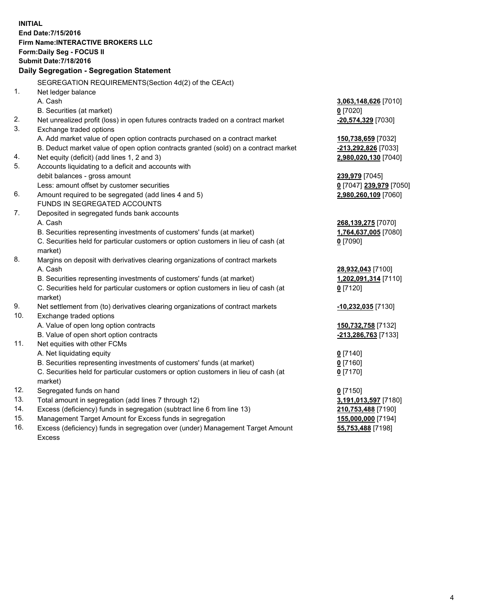**INITIAL End Date:7/15/2016 Firm Name:INTERACTIVE BROKERS LLC Form:Daily Seg - FOCUS II Submit Date:7/18/2016 Daily Segregation - Segregation Statement** SEGREGATION REQUIREMENTS(Section 4d(2) of the CEAct) 1. Net ledger balance A. Cash **3,063,148,626** [7010] B. Securities (at market) **0** [7020] 2. Net unrealized profit (loss) in open futures contracts traded on a contract market **-20,574,329** [7030] 3. Exchange traded options A. Add market value of open option contracts purchased on a contract market **150,738,659** [7032] B. Deduct market value of open option contracts granted (sold) on a contract market **-213,292,826** [7033] 4. Net equity (deficit) (add lines 1, 2 and 3) **2,980,020,130** [7040] 5. Accounts liquidating to a deficit and accounts with debit balances - gross amount **239,979** [7045] Less: amount offset by customer securities **0** [7047] **239,979** [7050] 6. Amount required to be segregated (add lines 4 and 5) **2,980,260,109** [7060] FUNDS IN SEGREGATED ACCOUNTS 7. Deposited in segregated funds bank accounts A. Cash **268,139,275** [7070] B. Securities representing investments of customers' funds (at market) **1,764,637,005** [7080] C. Securities held for particular customers or option customers in lieu of cash (at market) **0** [7090] 8. Margins on deposit with derivatives clearing organizations of contract markets A. Cash **28,932,043** [7100] B. Securities representing investments of customers' funds (at market) **1,202,091,314** [7110] C. Securities held for particular customers or option customers in lieu of cash (at market) **0** [7120] 9. Net settlement from (to) derivatives clearing organizations of contract markets **-10,232,035** [7130] 10. Exchange traded options A. Value of open long option contracts **150,732,758** [7132] B. Value of open short option contracts **-213,286,763** [7133] 11. Net equities with other FCMs A. Net liquidating equity **0** [7140] B. Securities representing investments of customers' funds (at market) **0** [7160] C. Securities held for particular customers or option customers in lieu of cash (at market) **0** [7170] 12. Segregated funds on hand **0** [7150] 13. Total amount in segregation (add lines 7 through 12) **3,191,013,597** [7180] 14. Excess (deficiency) funds in segregation (subtract line 6 from line 13) **210,753,488** [7190] 15. Management Target Amount for Excess funds in segregation **155,000,000** [7194] **55,753,488** [7198]

16. Excess (deficiency) funds in segregation over (under) Management Target Amount Excess